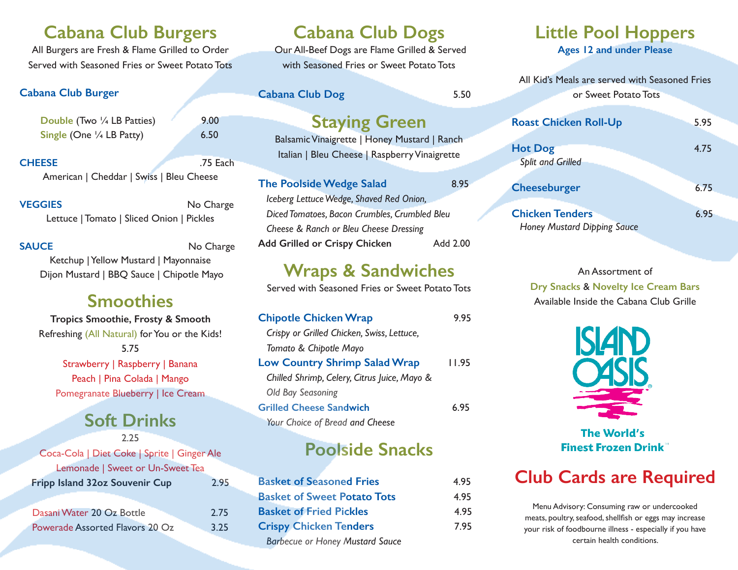#### **Cabana Club Burgers**

All Burgers are Fresh & Flame Grilled to Order Served with Seasoned Fries or Sweet Potato Tots

#### **Cabana Club Burger**

**Double** (Two  $\frac{1}{4}$  LB Patties) 9.00 **Single (One**  $\frac{1}{4}$  **LB Patty) 6.50** 

**CHEESE** .75 Each American | Cheddar | Swiss | Bleu Cheese

**VEGGIES** No Charge Lettuce | Tomato | Sliced Onion | Pickles

**SAUCE** No Charge Ketchup | Yellow Mustard | Mayonnaise Dijon Mustard | BBQ Sauce | Chipotle Mayo

#### **Smoothies**

**Tropics Smoothie, Frosty & Smooth** Refreshing (All Natural) for You or the Kids! 5.75 Strawberry | Raspberry | Banana Peach | Pina Colada | Mango Pomegranate Blueberry | Ice Cream

# **Soft Drinks**

2.25 Coca-Cola | Diet Coke | Sprite | Ginger Ale Lemonade | Sweet or Un-Sweet Tea **Fripp Island 32oz Souvenir Cup** 2.95 Dasani Water 20 Oz Bottle 2.75 Powerade Assorted Flavors 20 Oz 3.25

## **Cabana Club Dogs**

 Our All-Beef Dogs are Flame Grilled & Served with Seasoned Fries or Sweet Potato Tots

**Cabana Club Dog** 5.50

#### **Staying Green**

Balsamic Vinaigrette | Honey Mustard | Ranch Italian | Bleu Cheese | Raspberry Vinaigrette

**The Poolside Wedge Salad** 8.95 *Iceberg Lettuce Wedge, Shaved Red Onion, Diced Tomatoes, Bacon Crumbles, Crumbled Bleu Cheese & Ranch or Bleu Cheese Dressing*  **Add Grilled or Crispy Chicken** Add 2.00

### **Wraps & Sandwiches**

Served with Seasoned Fries or Sweet Potato Tots

| <b>Chipotle Chicken Wrap</b>                 | 9.95  |
|----------------------------------------------|-------|
| Crispy or Grilled Chicken, Swiss, Lettuce,   |       |
| Tomato & Chipotle Mayo                       |       |
| <b>Low Country Shrimp Salad Wrap</b>         | 11.95 |
| Chilled Shrimp, Celery, Citrus Juice, Mayo & |       |
| Old Bay Seasoning                            |       |
| <b>Grilled Cheese Sandwich</b>               | 6.95  |
| Your Choice of Bread and Cheese              |       |

# **Poolside Snacks**

| <b>Basket of Seasoned Fries</b>        | 4.95 |
|----------------------------------------|------|
| <b>Basket of Sweet Potato Tots</b>     | 4.95 |
| <b>Basket of Fried Pickles</b>         | 4.95 |
| <b>Crispy Chicken Tenders</b>          | 7.95 |
| <b>Barbecue or Honey Mustard Sauce</b> |      |

# **Little Pool Hoppers**

**Ages 12 and under Please**

All Kid's Meals are served with Seasoned Fries or Sweet Potato Tots

| <b>Roast Chicken Roll-Up</b>                                 | 5.95 |
|--------------------------------------------------------------|------|
| <b>Hot Dog</b><br><b>Split and Grilled</b>                   | 4.75 |
| Cheeseburger                                                 | 6.75 |
| <b>Chicken Tenders</b><br><b>Honey Mustard Dipping Sauce</b> | 6.95 |

An Assortment of **Dry Snacks** & **Novelty Ice Cream Bars**  Available Inside the Cabana Club Grille



The World's **Finest Frozen Drink** 

# **Club Cards are Required**

Menu Advisory: Consuming raw or undercooked meats, poultry, seafood, shellfish or eggs may increase your risk of foodbourne illness - especially if you have certain health conditions.